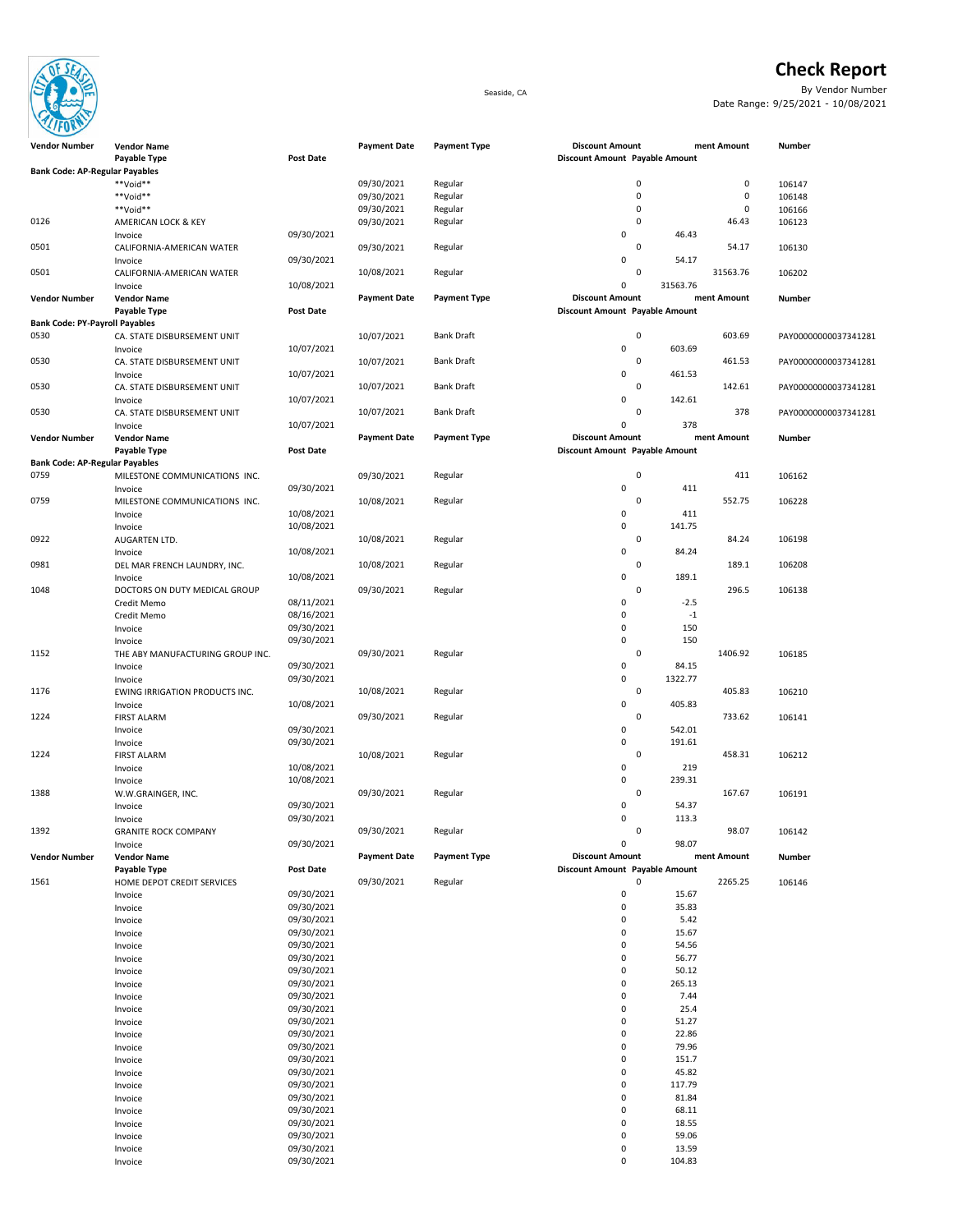

## **Check Report**

Seaside, CA By Vendor Number Date Range: 9/25/2021 - 10/08/2021

| <b>Vendor Number</b>                  | <b>Vendor Name</b><br>Payable Type | <b>Post Date</b> | <b>Payment Date</b> | <b>Payment Type</b> | <b>Discount Amount</b><br>Discount Amount Payable Amount |          | ment Amount | Number               |
|---------------------------------------|------------------------------------|------------------|---------------------|---------------------|----------------------------------------------------------|----------|-------------|----------------------|
|                                       |                                    |                  |                     |                     |                                                          |          |             |                      |
| <b>Bank Code: AP-Regular Payables</b> |                                    |                  |                     |                     |                                                          |          |             |                      |
|                                       | **Void**                           |                  | 09/30/2021          | Regular             | $\pmb{0}$                                                |          | $\mathsf 0$ | 106147               |
|                                       | **Void**                           |                  | 09/30/2021          | Regular             | $\mathbf 0$                                              |          | $\mathsf 0$ | 106148               |
|                                       | **Void**                           |                  | 09/30/2021          | Regular             | $\pmb{0}$                                                |          | $\pmb{0}$   | 106166               |
| 0126                                  | AMERICAN LOCK & KEY                |                  | 09/30/2021          | Regular             | $\mathbf 0$                                              |          | 46.43       | 106123               |
|                                       | Invoice                            | 09/30/2021       |                     |                     | 0                                                        | 46.43    |             |                      |
| 0501                                  | CALIFORNIA-AMERICAN WATER          |                  | 09/30/2021          | Regular             | $\mathbf 0$                                              |          | 54.17       | 106130               |
|                                       | Invoice                            | 09/30/2021       |                     |                     | 0                                                        | 54.17    |             |                      |
| 0501                                  | CALIFORNIA-AMERICAN WATER          |                  | 10/08/2021          | Regular             | $\mathbf 0$                                              |          | 31563.76    | 106202               |
|                                       | Invoice                            | 10/08/2021       |                     |                     | 0                                                        | 31563.76 |             |                      |
| <b>Vendor Number</b>                  | <b>Vendor Name</b>                 |                  | <b>Payment Date</b> | <b>Payment Type</b> | <b>Discount Amount</b>                                   |          | ment Amount | Number               |
|                                       | Payable Type                       | Post Date        |                     |                     | Discount Amount Payable Amount                           |          |             |                      |
| <b>Bank Code: PY-Payroll Payables</b> |                                    |                  |                     |                     |                                                          |          |             |                      |
| 0530                                  | CA. STATE DISBURSEMENT UNIT        |                  | 10/07/2021          | <b>Bank Draft</b>   | $\mathbf 0$                                              |          | 603.69      | PAY00000000037341281 |
|                                       | Invoice                            | 10/07/2021       |                     |                     | 0                                                        | 603.69   |             |                      |
| 0530                                  | CA. STATE DISBURSEMENT UNIT        |                  | 10/07/2021          | <b>Bank Draft</b>   | $\mathbf 0$                                              |          | 461.53      | PAY00000000037341281 |
|                                       | Invoice                            | 10/07/2021       |                     |                     | 0                                                        | 461.53   |             |                      |
| 0530                                  | CA. STATE DISBURSEMENT UNIT        |                  | 10/07/2021          | <b>Bank Draft</b>   | $\mathsf 0$                                              |          | 142.61      | PAY00000000037341281 |
|                                       | Invoice                            | 10/07/2021       |                     |                     | 0                                                        | 142.61   |             |                      |
| 0530                                  | CA. STATE DISBURSEMENT UNIT        |                  | 10/07/2021          | <b>Bank Draft</b>   | $\mathbf 0$                                              |          | 378         | PAY00000000037341281 |
|                                       | Invoice                            | 10/07/2021       |                     |                     | 0                                                        | 378      |             |                      |
| <b>Vendor Number</b>                  | <b>Vendor Name</b>                 |                  | <b>Payment Date</b> | <b>Payment Type</b> | <b>Discount Amount</b>                                   |          | ment Amount | <b>Number</b>        |
|                                       | Payable Type                       | <b>Post Date</b> |                     |                     | Discount Amount Payable Amount                           |          |             |                      |
| <b>Bank Code: AP-Regular Payables</b> |                                    |                  |                     |                     |                                                          |          |             |                      |
| 0759                                  | MILESTONE COMMUNICATIONS INC.      |                  | 09/30/2021          | Regular             | $\mathbf 0$                                              |          | 411         | 106162               |
|                                       | Invoice                            | 09/30/2021       |                     |                     | 0                                                        | 411      |             |                      |
| 0759                                  | MILESTONE COMMUNICATIONS INC.      |                  | 10/08/2021          | Regular             | $\mathbf 0$                                              |          | 552.75      | 106228               |
|                                       |                                    | 10/08/2021       |                     |                     | 0                                                        | 411      |             |                      |
|                                       | Invoice                            | 10/08/2021       |                     |                     | 0                                                        | 141.75   |             |                      |
|                                       | Invoice                            |                  |                     |                     | $\pmb{0}$                                                |          |             |                      |
| 0922                                  | AUGARTEN LTD.                      |                  | 10/08/2021          | Regular             |                                                          |          | 84.24       | 106198               |
|                                       | Invoice                            | 10/08/2021       |                     |                     | 0                                                        | 84.24    |             |                      |
| 0981                                  | DEL MAR FRENCH LAUNDRY, INC.       |                  | 10/08/2021          | Regular             | $\mathbf 0$                                              |          | 189.1       | 106208               |
|                                       | Invoice                            | 10/08/2021       |                     |                     | 0                                                        | 189.1    |             |                      |
| 1048                                  | DOCTORS ON DUTY MEDICAL GROUP      |                  | 09/30/2021          | Regular             | $\mathbf 0$                                              |          | 296.5       | 106138               |
|                                       | Credit Memo                        | 08/11/2021       |                     |                     | 0                                                        | $-2.5$   |             |                      |
|                                       | Credit Memo                        | 08/16/2021       |                     |                     | 0                                                        | $-1$     |             |                      |
|                                       | Invoice                            | 09/30/2021       |                     |                     | 0                                                        | 150      |             |                      |
|                                       | Invoice                            | 09/30/2021       |                     |                     | 0                                                        | 150      |             |                      |
| 1152                                  | THE ABY MANUFACTURING GROUP INC.   |                  | 09/30/2021          | Regular             | $\mathbf 0$                                              |          | 1406.92     | 106185               |
|                                       | Invoice                            | 09/30/2021       |                     |                     | 0                                                        | 84.15    |             |                      |
|                                       | Invoice                            | 09/30/2021       |                     |                     | 0                                                        | 1322.77  |             |                      |
| 1176                                  | EWING IRRIGATION PRODUCTS INC.     |                  | 10/08/2021          | Regular             | $\pmb{0}$                                                |          | 405.83      | 106210               |
|                                       | Invoice                            | 10/08/2021       |                     |                     | 0                                                        | 405.83   |             |                      |
| 1224                                  | <b>FIRST ALARM</b>                 |                  | 09/30/2021          | Regular             | $\pmb{0}$                                                |          | 733.62      | 106141               |
|                                       | Invoice                            | 09/30/2021       |                     |                     | 0                                                        | 542.01   |             |                      |
|                                       | Invoice                            | 09/30/2021       |                     |                     | 0                                                        | 191.61   |             |                      |
| 1224                                  | <b>FIRST ALARM</b>                 |                  | 10/08/2021          | Regular             | $\mathbf 0$                                              |          | 458.31      | 106212               |
|                                       | Invoice                            | 10/08/2021       |                     |                     | 0                                                        | 219      |             |                      |
|                                       | Invoice                            | 10/08/2021       |                     |                     | 0                                                        | 239.31   |             |                      |
| 1388                                  | W.W.GRAINGER, INC.                 |                  | 09/30/2021          | Regular             | $\mathsf 0$                                              |          | 167.67      | 106191               |
|                                       |                                    | 09/30/2021       |                     |                     | 0                                                        | 54.37    |             |                      |
|                                       | Invoice                            | 09/30/2021       |                     |                     | 0                                                        | 113.3    |             |                      |
|                                       | Invoice                            |                  |                     |                     |                                                          |          |             |                      |
| 1392                                  | <b>GRANITE ROCK COMPANY</b>        | 09/30/2021       | 09/30/2021          | Regular             | 0                                                        |          | 98.07       | 106142               |
|                                       | Invoice                            |                  |                     |                     | 0                                                        | 98.07    |             |                      |
| <b>Vendor Number</b>                  | <b>Vendor Name</b>                 |                  | <b>Payment Date</b> | <b>Payment Type</b> | <b>Discount Amount</b>                                   |          | ment Amount | Number               |
|                                       | Payable Type                       | Post Date        |                     |                     | Discount Amount Payable Amount                           |          |             |                      |
| 1561                                  | HOME DEPOT CREDIT SERVICES         |                  | 09/30/2021          | Regular             | $\mathbf 0$                                              |          | 2265.25     | 106146               |
|                                       | Invoice                            | 09/30/2021       |                     |                     | 0                                                        | 15.67    |             |                      |
|                                       | Invoice                            | 09/30/2021       |                     |                     | 0                                                        | 35.83    |             |                      |
|                                       | Invoice                            | 09/30/2021       |                     |                     | 0                                                        | 5.42     |             |                      |
|                                       | Invoice                            | 09/30/2021       |                     |                     | 0                                                        | 15.67    |             |                      |
|                                       | Invoice                            | 09/30/2021       |                     |                     | 0                                                        | 54.56    |             |                      |
|                                       | Invoice                            | 09/30/2021       |                     |                     | 0                                                        | 56.77    |             |                      |
|                                       | Invoice                            | 09/30/2021       |                     |                     | $\pmb{0}$                                                | 50.12    |             |                      |
|                                       | Invoice                            | 09/30/2021       |                     |                     | $\pmb{0}$                                                | 265.13   |             |                      |
|                                       | Invoice                            | 09/30/2021       |                     |                     | $\pmb{0}$                                                | 7.44     |             |                      |
|                                       | Invoice                            | 09/30/2021       |                     |                     | 0                                                        | 25.4     |             |                      |
|                                       | Invoice                            | 09/30/2021       |                     |                     | 0                                                        | 51.27    |             |                      |
|                                       | Invoice                            | 09/30/2021       |                     |                     | 0                                                        | 22.86    |             |                      |
|                                       | Invoice                            | 09/30/2021       |                     |                     | 0                                                        | 79.96    |             |                      |
|                                       | Invoice                            | 09/30/2021       |                     |                     | $\pmb{0}$                                                | 151.7    |             |                      |
|                                       | Invoice                            | 09/30/2021       |                     |                     | 0                                                        | 45.82    |             |                      |
|                                       | Invoice                            | 09/30/2021       |                     |                     | $\pmb{0}$                                                | 117.79   |             |                      |
|                                       | Invoice                            | 09/30/2021       |                     |                     | 0                                                        | 81.84    |             |                      |
|                                       | Invoice                            | 09/30/2021       |                     |                     | $\pmb{0}$                                                | 68.11    |             |                      |
|                                       |                                    | 09/30/2021       |                     |                     | $\pmb{0}$                                                | 18.55    |             |                      |
|                                       | Invoice                            | 09/30/2021       |                     |                     | 0                                                        | 59.06    |             |                      |
|                                       | Invoice                            |                  |                     |                     |                                                          |          |             |                      |
|                                       | Invoice                            | 09/30/2021       |                     |                     | 0                                                        | 13.59    |             |                      |
|                                       | Invoice                            | 09/30/2021       |                     |                     | 0                                                        | 104.83   |             |                      |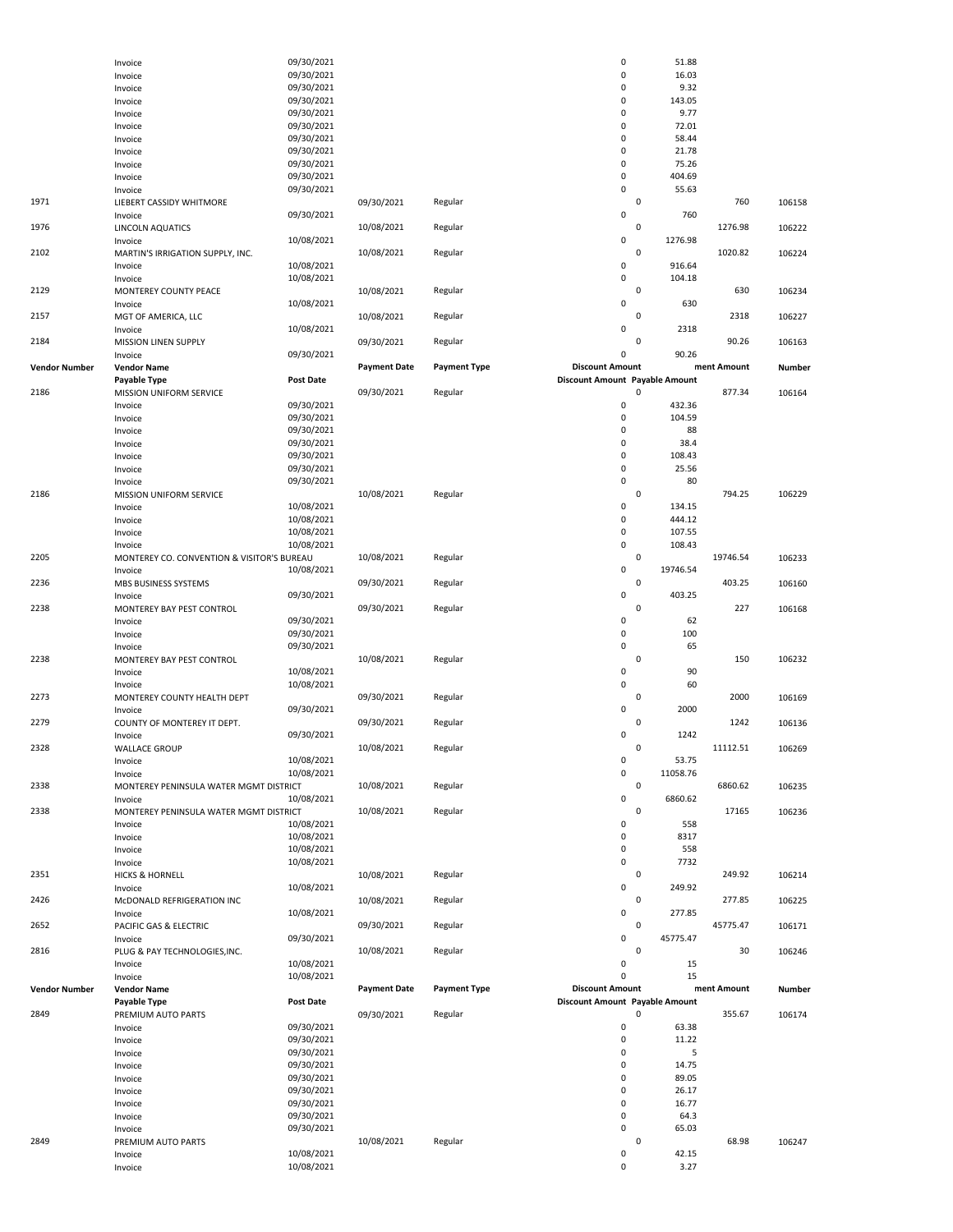|               | Invoice                                    | 09/30/2021               |                     |                     | 0                              | 51.88          |             |               |
|---------------|--------------------------------------------|--------------------------|---------------------|---------------------|--------------------------------|----------------|-------------|---------------|
|               | Invoice                                    | 09/30/2021               |                     |                     | 0                              | 16.03          |             |               |
|               | Invoice                                    | 09/30/2021               |                     |                     | 0                              | 9.32           |             |               |
|               | Invoice                                    | 09/30/2021               |                     |                     | $\mathbf 0$                    | 143.05         |             |               |
|               | Invoice                                    | 09/30/2021               |                     |                     | 0                              | 9.77           |             |               |
|               | Invoice                                    | 09/30/2021               |                     |                     | 0                              | 72.01          |             |               |
|               | Invoice                                    | 09/30/2021               |                     |                     | $\mathbf 0$                    | 58.44          |             |               |
|               | Invoice                                    | 09/30/2021               |                     |                     | 0<br>0                         | 21.78<br>75.26 |             |               |
|               | Invoice                                    | 09/30/2021<br>09/30/2021 |                     |                     | 0                              | 404.69         |             |               |
|               | Invoice                                    | 09/30/2021               |                     |                     | 0                              | 55.63          |             |               |
| 1971          | Invoice                                    |                          | 09/30/2021          |                     |                                | $\mathsf 0$    | 760         | 106158        |
|               | LIEBERT CASSIDY WHITMORE                   | 09/30/2021               |                     | Regular             | 0                              | 760            |             |               |
| 1976          | Invoice<br>LINCOLN AQUATICS                |                          | 10/08/2021          | Regular             |                                | 0              | 1276.98     | 106222        |
|               | Invoice                                    | 10/08/2021               |                     |                     | 0                              | 1276.98        |             |               |
| 2102          | MARTIN'S IRRIGATION SUPPLY, INC.           |                          | 10/08/2021          | Regular             |                                | 0              | 1020.82     | 106224        |
|               | Invoice                                    | 10/08/2021               |                     |                     | 0                              | 916.64         |             |               |
|               | Invoice                                    | 10/08/2021               |                     |                     | 0                              | 104.18         |             |               |
| 2129          | MONTEREY COUNTY PEACE                      |                          | 10/08/2021          | Regular             |                                | $\mathbf 0$    | 630         | 106234        |
|               | Invoice                                    | 10/08/2021               |                     |                     | 0                              | 630            |             |               |
| 2157          | MGT OF AMERICA, LLC                        |                          | 10/08/2021          | Regular             |                                | 0              | 2318        | 106227        |
|               | Invoice                                    | 10/08/2021               |                     |                     | 0                              | 2318           |             |               |
| 2184          | MISSION LINEN SUPPLY                       |                          | 09/30/2021          | Regular             |                                | 0              | 90.26       | 106163        |
|               | Invoice                                    | 09/30/2021               |                     |                     | 0                              | 90.26          |             |               |
| Vendor Number | <b>Vendor Name</b>                         |                          | <b>Payment Date</b> | <b>Payment Type</b> | <b>Discount Amount</b>         |                | ment Amount | <b>Number</b> |
|               | Payable Type                               | <b>Post Date</b>         |                     |                     | Discount Amount Payable Amount |                |             |               |
| 2186          | MISSION UNIFORM SERVICE                    |                          | 09/30/2021          | Regular             |                                | 0              | 877.34      | 106164        |
|               | Invoice                                    | 09/30/2021               |                     |                     | 0                              | 432.36         |             |               |
|               | Invoice                                    | 09/30/2021               |                     |                     | 0                              | 104.59         |             |               |
|               | Invoice                                    | 09/30/2021               |                     |                     | $\mathbf 0$                    | 88             |             |               |
|               | Invoice                                    | 09/30/2021               |                     |                     | 0                              | 38.4           |             |               |
|               | Invoice                                    | 09/30/2021               |                     |                     | $\mathbf 0$                    | 108.43         |             |               |
|               | Invoice                                    | 09/30/2021               |                     |                     | 0                              | 25.56          |             |               |
|               | Invoice                                    | 09/30/2021               |                     |                     | 0                              | 80             |             |               |
| 2186          | MISSION UNIFORM SERVICE                    |                          | 10/08/2021          | Regular             |                                | $\mathsf 0$    | 794.25      | 106229        |
|               | Invoice                                    | 10/08/2021               |                     |                     | 0                              | 134.15         |             |               |
|               | Invoice                                    | 10/08/2021               |                     |                     | 0                              | 444.12         |             |               |
|               | Invoice                                    | 10/08/2021               |                     |                     | 0                              | 107.55         |             |               |
|               | Invoice                                    | 10/08/2021               |                     |                     | 0                              | 108.43         |             |               |
| 2205          | MONTEREY CO. CONVENTION & VISITOR'S BUREAU |                          | 10/08/2021          | Regular             |                                | $\mathbf 0$    | 19746.54    | 106233        |
|               | Invoice                                    | 10/08/2021               |                     |                     | 0                              | 19746.54       |             |               |
| 2236          | MBS BUSINESS SYSTEMS                       |                          | 09/30/2021          | Regular             |                                | $\mathsf 0$    | 403.25      | 106160        |
|               | Invoice                                    | 09/30/2021               |                     |                     | 0                              | 403.25<br>0    |             |               |
| 2238          | MONTEREY BAY PEST CONTROL                  |                          | 09/30/2021          | Regular             |                                |                | 227         | 106168        |
|               | Invoice                                    | 09/30/2021               |                     |                     | $\mathbf 0$                    | 62             |             |               |
|               | Invoice                                    | 09/30/2021               |                     |                     | 0<br>0                         | 100<br>65      |             |               |
| 2238          | Invoice                                    | 09/30/2021               | 10/08/2021          |                     |                                | $\mathsf 0$    | 150         |               |
|               | MONTEREY BAY PEST CONTROL                  | 10/08/2021               |                     | Regular             | 0                              | 90             |             | 106232        |
|               | Invoice                                    | 10/08/2021               |                     |                     | 0                              | 60             |             |               |
| 2273          | Invoice<br>MONTEREY COUNTY HEALTH DEPT     |                          | 09/30/2021          | Regular             |                                | $\mathsf 0$    | 2000        | 106169        |
|               | Invoice                                    | 09/30/2021               |                     |                     | 0                              | 2000           |             |               |
| 2279          | COUNTY OF MONTEREY IT DEPT.                |                          | 09/30/2021          | Regular             |                                | 0              | 1242        | 106136        |
|               | Invoice                                    | 09/30/2021               |                     |                     | 0                              | 1242           |             |               |
| 2328          | <b>WALLACE GROUP</b>                       |                          | 10/08/2021          | Regular             |                                | 0              | 11112.51    | 106269        |
|               | Invoice                                    | 10/08/2021               |                     |                     | 0                              | 53.75          |             |               |
|               | Invoice                                    | 10/08/2021               |                     |                     | 0                              | 11058.76       |             |               |
| 2338          | MONTEREY PENINSULA WATER MGMT DISTRICT     |                          | 10/08/2021          | Regular             |                                | $\mathbf 0$    | 6860.62     | 106235        |
|               | Invoice                                    | 10/08/2021               |                     |                     | 0                              | 6860.62        |             |               |
| 2338          | MONTEREY PENINSULA WATER MGMT DISTRICT     |                          | 10/08/2021          | Regular             |                                | $\mathbf 0$    | 17165       | 106236        |
|               | Invoice                                    | 10/08/2021               |                     |                     | 0                              | 558            |             |               |
|               | Invoice                                    | 10/08/2021               |                     |                     | 0                              | 8317           |             |               |
|               | Invoice                                    | 10/08/2021               |                     |                     | 0                              | 558            |             |               |
|               | Invoice                                    | 10/08/2021               |                     |                     | 0                              | 7732           |             |               |
| 2351          | <b>HICKS &amp; HORNELL</b>                 |                          | 10/08/2021          | Regular             |                                | $\mathbf 0$    | 249.92      | 106214        |
|               | Invoice                                    | 10/08/2021               |                     |                     | 0                              | 249.92         |             |               |
| 2426          | McDONALD REFRIGERATION INC                 |                          | 10/08/2021          | Regular             |                                | 0              | 277.85      | 106225        |
|               | Invoice                                    | 10/08/2021               |                     |                     | 0                              | 277.85         |             |               |
| 2652          | PACIFIC GAS & ELECTRIC                     |                          | 09/30/2021          | Regular             |                                | $\pmb{0}$      | 45775.47    | 106171        |
|               | Invoice                                    | 09/30/2021               |                     |                     | 0                              | 45775.47       |             |               |
| 2816          | PLUG & PAY TECHNOLOGIES, INC.              |                          | 10/08/2021          | Regular             |                                | $\mathbf 0$    | 30          | 106246        |
|               | Invoice                                    | 10/08/2021               |                     |                     | 0                              | 15             |             |               |
|               | Invoice                                    | 10/08/2021               |                     |                     | 0                              | 15             |             |               |
| Vendor Number | <b>Vendor Name</b>                         |                          | <b>Payment Date</b> | <b>Payment Type</b> | <b>Discount Amount</b>         |                | ment Amount | Number        |
|               | Payable Type                               | Post Date                |                     |                     | Discount Amount Payable Amount |                |             |               |
| 2849          | PREMIUM AUTO PARTS                         |                          | 09/30/2021          | Regular             |                                | 0              | 355.67      | 106174        |
|               | Invoice                                    | 09/30/2021               |                     |                     | 0                              | 63.38          |             |               |
|               | Invoice                                    | 09/30/2021               |                     |                     | $\mathbf 0$                    | 11.22          |             |               |
|               | Invoice                                    | 09/30/2021               |                     |                     | 0                              | 5              |             |               |
|               | Invoice                                    | 09/30/2021               |                     |                     | 0<br>0                         | 14.75          |             |               |
|               | Invoice                                    | 09/30/2021               |                     |                     | $\mathbf 0$                    | 89.05          |             |               |
|               | Invoice                                    | 09/30/2021<br>09/30/2021 |                     |                     | 0                              | 26.17<br>16.77 |             |               |
|               | Invoice                                    | 09/30/2021               |                     |                     | 0                              | 64.3           |             |               |
|               | Invoice<br>Invoice                         | 09/30/2021               |                     |                     | 0                              | 65.03          |             |               |
| 2849          | PREMIUM AUTO PARTS                         |                          | 10/08/2021          | Regular             |                                | 0              | 68.98       | 106247        |
|               | Invoice                                    | 10/08/2021               |                     |                     | 0                              | 42.15          |             |               |
|               | Invoice                                    | 10/08/2021               |                     |                     | 0                              | 3.27           |             |               |
|               |                                            |                          |                     |                     |                                |                |             |               |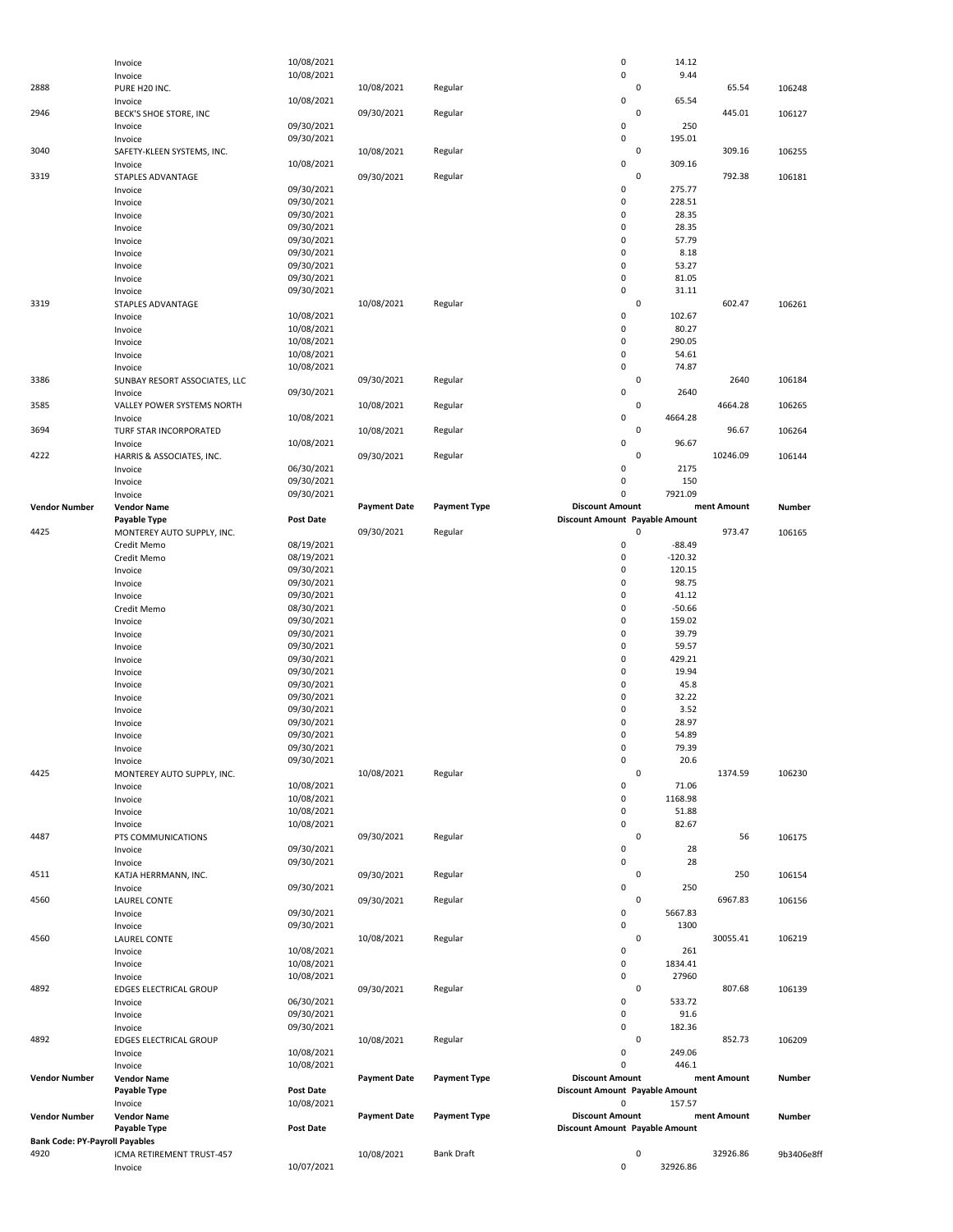|                                               | Invoice                           | 10/08/2021               |                     |                     | $\pmb{0}$                                  | 14.12               |             |            |
|-----------------------------------------------|-----------------------------------|--------------------------|---------------------|---------------------|--------------------------------------------|---------------------|-------------|------------|
| 2888                                          | Invoice                           | 10/08/2021               | 10/08/2021          |                     | $\mathsf 0$                                | 9.44<br>$\mathbf 0$ | 65.54       |            |
|                                               | PURE H20 INC.                     | 10/08/2021               |                     | Regular             | $\mathsf 0$                                | 65.54               |             | 106248     |
| 2946                                          | Invoice<br>BECK'S SHOE STORE, INC |                          | 09/30/2021          | Regular             |                                            | 0                   | 445.01      | 106127     |
|                                               | Invoice                           | 09/30/2021               |                     |                     | $\mathsf 0$                                | 250                 |             |            |
|                                               | Invoice                           | 09/30/2021               |                     |                     | 0                                          | 195.01              |             |            |
| 3040                                          | SAFETY-KLEEN SYSTEMS, INC.        |                          | 10/08/2021          | Regular             |                                            | $\mathbf 0$         | 309.16      | 106255     |
|                                               | Invoice                           | 10/08/2021               |                     |                     | $\mathsf 0$                                | 309.16              |             |            |
| 3319                                          | STAPLES ADVANTAGE                 |                          | 09/30/2021          | Regular             |                                            | 0                   | 792.38      | 106181     |
|                                               | Invoice                           | 09/30/2021               |                     |                     | $\mathsf 0$                                | 275.77              |             |            |
|                                               | Invoice                           | 09/30/2021               |                     |                     | $\pmb{0}$                                  | 228.51              |             |            |
|                                               | Invoice                           | 09/30/2021               |                     |                     | $\mathsf 0$                                | 28.35               |             |            |
|                                               | Invoice                           | 09/30/2021               |                     |                     | $\mathsf 0$                                | 28.35               |             |            |
|                                               | Invoice                           | 09/30/2021               |                     |                     | $\pmb{0}$                                  | 57.79               |             |            |
|                                               | Invoice                           | 09/30/2021               |                     |                     | 0<br>$\pmb{0}$                             | 8.18                |             |            |
|                                               | Invoice                           | 09/30/2021<br>09/30/2021 |                     |                     | $\mathsf 0$                                | 53.27<br>81.05      |             |            |
|                                               | Invoice<br>Invoice                | 09/30/2021               |                     |                     | $\mathsf 0$                                | 31.11               |             |            |
| 3319                                          | STAPLES ADVANTAGE                 |                          | 10/08/2021          | Regular             |                                            | $\mathsf 0$         | 602.47      | 106261     |
|                                               | Invoice                           | 10/08/2021               |                     |                     | $\mathsf 0$                                | 102.67              |             |            |
|                                               | Invoice                           | 10/08/2021               |                     |                     | $\mathsf 0$                                | 80.27               |             |            |
|                                               | Invoice                           | 10/08/2021               |                     |                     | $\mathsf 0$                                | 290.05              |             |            |
|                                               | Invoice                           | 10/08/2021               |                     |                     | $\mathsf 0$                                | 54.61               |             |            |
|                                               | Invoice                           | 10/08/2021               |                     |                     | $\mathsf 0$                                | 74.87               |             |            |
| 3386                                          | SUNBAY RESORT ASSOCIATES, LLC     |                          | 09/30/2021          | Regular             |                                            | $\mathbf 0$         | 2640        | 106184     |
|                                               | Invoice                           | 09/30/2021               |                     |                     | $\mathbf 0$                                | 2640                |             |            |
| 3585                                          | VALLEY POWER SYSTEMS NORTH        |                          | 10/08/2021          | Regular             |                                            | $\mathbf 0$         | 4664.28     | 106265     |
|                                               | Invoice                           | 10/08/2021               |                     |                     | $\mathsf 0$                                | 4664.28             |             |            |
| 3694                                          | TURF STAR INCORPORATED            |                          | 10/08/2021          | Regular             |                                            | $\pmb{0}$           | 96.67       | 106264     |
|                                               | Invoice                           | 10/08/2021               |                     |                     | $\mathsf 0$                                | 96.67               |             |            |
| 4222                                          | HARRIS & ASSOCIATES, INC.         |                          | 09/30/2021          | Regular             |                                            | 0                   | 10246.09    | 106144     |
|                                               | Invoice                           | 06/30/2021               |                     |                     | $\mathsf 0$                                | 2175                |             |            |
|                                               | Invoice                           | 09/30/2021               |                     |                     | $\mathsf 0$                                | 150                 |             |            |
|                                               | Invoice                           | 09/30/2021               |                     |                     | 0                                          | 7921.09             |             |            |
| <b>Vendor Number</b>                          | <b>Vendor Name</b>                |                          | <b>Payment Date</b> | <b>Payment Type</b> | <b>Discount Amount</b>                     |                     | ment Amount | Number     |
| 4425                                          | Payable Type                      | Post Date                |                     |                     | Discount Amount Payable Amount             | 0                   | 973.47      |            |
|                                               | MONTEREY AUTO SUPPLY, INC.        | 08/19/2021               | 09/30/2021          | Regular             | $\pmb{0}$                                  | $-88.49$            |             | 106165     |
|                                               | Credit Memo<br>Credit Memo        | 08/19/2021               |                     |                     | $\pmb{0}$                                  | $-120.32$           |             |            |
|                                               | Invoice                           | 09/30/2021               |                     |                     | $\mathsf 0$                                | 120.15              |             |            |
|                                               | Invoice                           | 09/30/2021               |                     |                     | $\mathsf 0$                                | 98.75               |             |            |
|                                               | Invoice                           | 09/30/2021               |                     |                     | 0                                          | 41.12               |             |            |
|                                               | Credit Memo                       | 08/30/2021               |                     |                     | $\pmb{0}$                                  | $-50.66$            |             |            |
|                                               | Invoice                           | 09/30/2021               |                     |                     | 0                                          | 159.02              |             |            |
|                                               | Invoice                           | 09/30/2021               |                     |                     | $\pmb{0}$                                  | 39.79               |             |            |
|                                               | Invoice                           | 09/30/2021               |                     |                     | 0                                          | 59.57               |             |            |
|                                               | Invoice                           | 09/30/2021               |                     |                     | 0                                          | 429.21              |             |            |
|                                               | Invoice                           | 09/30/2021               |                     |                     | 0                                          | 19.94               |             |            |
|                                               | Invoice                           | 09/30/2021               |                     |                     | $\pmb{0}$                                  | 45.8                |             |            |
|                                               | Invoice                           | 09/30/2021               |                     |                     | $\pmb{0}$                                  | 32.22               |             |            |
|                                               | Invoice                           | 09/30/2021               |                     |                     | 0                                          | 3.52                |             |            |
|                                               | Invoice                           | 09/30/2021               |                     |                     | $\pmb{0}$                                  | 28.97               |             |            |
|                                               | Invoice                           | 09/30/2021               |                     |                     | $\mathbf 0$                                | 54.89               |             |            |
|                                               | Invoice                           | 09/30/2021               |                     |                     | 0                                          | 79.39               |             |            |
|                                               | Invoice                           | 09/30/2021               |                     |                     | $\pmb{0}$                                  | 20.6                |             |            |
| 4425                                          | MONTEREY AUTO SUPPLY, INC.        |                          | 10/08/2021          | Regular             |                                            | $\mathsf 0$         | 1374.59     | 106230     |
|                                               | Invoice                           | 10/08/2021               |                     |                     | 0                                          | 71.06               |             |            |
|                                               | Invoice                           | 10/08/2021               |                     |                     | $\pmb{0}$                                  | 1168.98             |             |            |
|                                               | Invoice                           | 10/08/2021               |                     |                     | 0                                          | 51.88               |             |            |
|                                               | Invoice                           | 10/08/2021               | 09/30/2021          |                     | $\pmb{0}$                                  | 82.67               |             |            |
| 4487                                          | PTS COMMUNICATIONS                | 09/30/2021               |                     | Regular             | 0                                          | $\mathsf 0$<br>28   | 56          | 106175     |
|                                               | Invoice<br>Invoice                | 09/30/2021               |                     |                     | $\pmb{0}$                                  | 28                  |             |            |
| 4511                                          | KATJA HERRMANN, INC.              |                          | 09/30/2021          | Regular             |                                            | 0                   | 250         | 106154     |
|                                               | Invoice                           | 09/30/2021               |                     |                     | $\pmb{0}$                                  | 250                 |             |            |
| 4560                                          | <b>LAUREL CONTE</b>               |                          | 09/30/2021          | Regular             |                                            | 0                   | 6967.83     | 106156     |
|                                               | Invoice                           | 09/30/2021               |                     |                     | 0                                          | 5667.83             |             |            |
|                                               | Invoice                           | 09/30/2021               |                     |                     | $\pmb{0}$                                  | 1300                |             |            |
| 4560                                          | <b>LAUREL CONTE</b>               |                          | 10/08/2021          | Regular             |                                            | $\mathsf 0$         | 30055.41    | 106219     |
|                                               | Invoice                           | 10/08/2021               |                     |                     | $\pmb{0}$                                  | 261                 |             |            |
|                                               | Invoice                           | 10/08/2021               |                     |                     | $\pmb{0}$                                  | 1834.41             |             |            |
|                                               | Invoice                           | 10/08/2021               |                     |                     | $\pmb{0}$                                  | 27960               |             |            |
| 4892                                          | EDGES ELECTRICAL GROUP            |                          | 09/30/2021          | Regular             |                                            | 0                   | 807.68      | 106139     |
|                                               | Invoice                           | 06/30/2021               |                     |                     | $\pmb{0}$                                  | 533.72              |             |            |
|                                               | Invoice                           | 09/30/2021               |                     |                     | $\pmb{0}$                                  | 91.6                |             |            |
|                                               | Invoice                           | 09/30/2021               |                     |                     | $\pmb{0}$                                  | 182.36              |             |            |
| 4892                                          | <b>EDGES ELECTRICAL GROUP</b>     |                          | 10/08/2021          | Regular             |                                            | $\mathsf 0$         | 852.73      | 106209     |
|                                               | Invoice                           | 10/08/2021               |                     |                     | 0                                          | 249.06              |             |            |
|                                               | Invoice                           | 10/08/2021               |                     |                     | $\mathbf 0$                                | 446.1               |             |            |
| <b>Vendor Number</b>                          | <b>Vendor Name</b>                |                          | <b>Payment Date</b> | <b>Payment Type</b> | <b>Discount Amount</b>                     |                     | ment Amount | Number     |
|                                               | Payable Type                      | Post Date<br>10/08/2021  |                     |                     | Discount Amount Payable Amount<br>$\Omega$ |                     |             |            |
|                                               |                                   |                          |                     |                     |                                            | 157.57              |             |            |
|                                               | Invoice                           |                          |                     |                     |                                            |                     |             |            |
| <b>Vendor Number</b>                          | <b>Vendor Name</b>                |                          | <b>Payment Date</b> | <b>Payment Type</b> | <b>Discount Amount</b>                     |                     | ment Amount | Number     |
|                                               | Payable Type                      | <b>Post Date</b>         |                     |                     | Discount Amount Payable Amount             |                     |             |            |
| <b>Bank Code: PY-Payroll Payables</b><br>4920 | ICMA RETIREMENT TRUST-457         |                          | 10/08/2021          | <b>Bank Draft</b>   |                                            | 0                   | 32926.86    | 9b3406e8ff |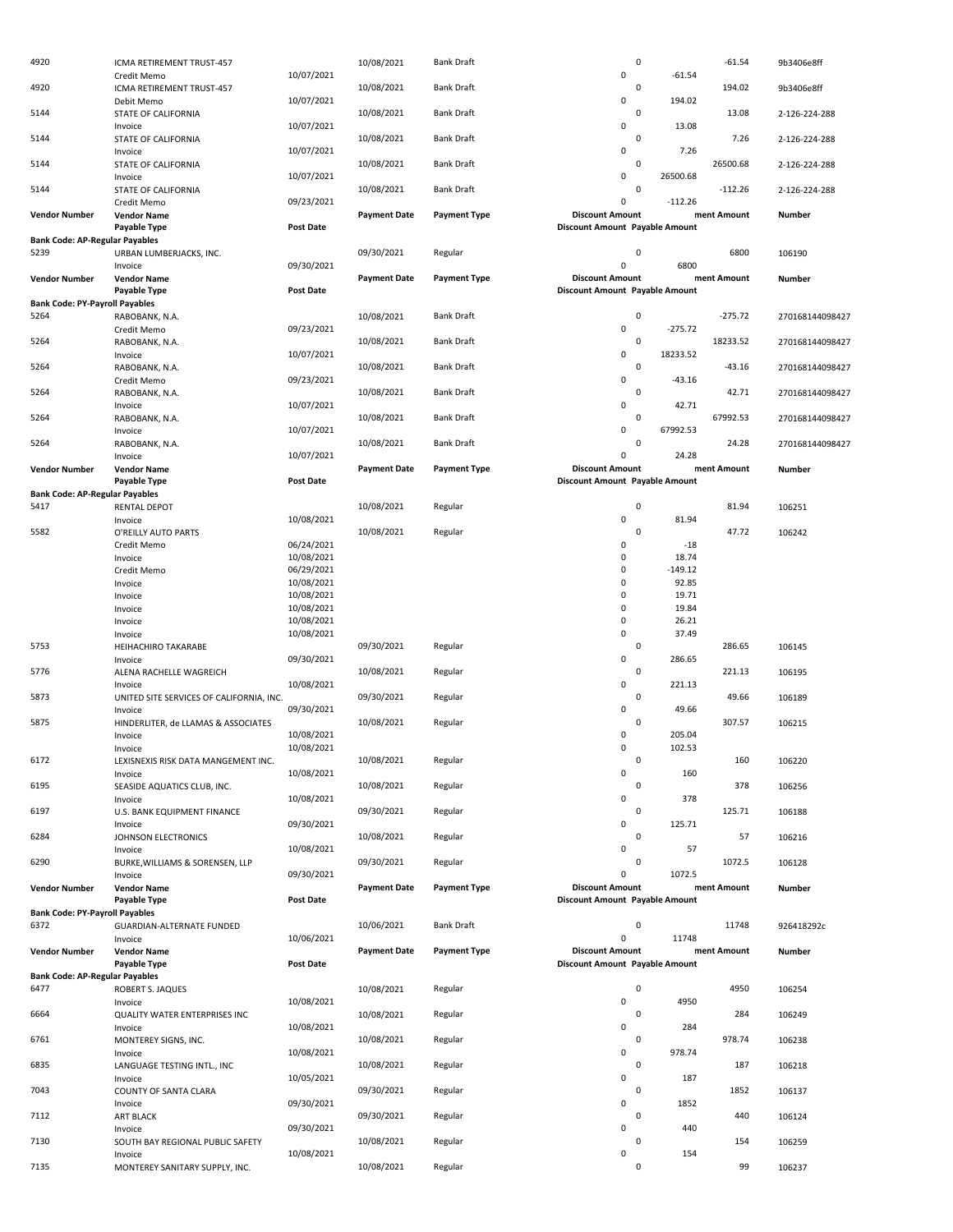| 4920                                          | ICMA RETIREMENT TRUST-457                      |                          | 10/08/2021          | Bank Draft          | 0                                                        |                    | $-61.54$    | 9b3406e8ff      |
|-----------------------------------------------|------------------------------------------------|--------------------------|---------------------|---------------------|----------------------------------------------------------|--------------------|-------------|-----------------|
| 4920                                          | Credit Memo<br>ICMA RETIREMENT TRUST-457       | 10/07/2021               | 10/08/2021          | <b>Bank Draft</b>   | $\mathsf 0$<br>0                                         | $-61.54$           | 194.02      | 9b3406e8ff      |
|                                               | Debit Memo                                     | 10/07/2021               |                     |                     | $\mathsf 0$                                              | 194.02             |             |                 |
| 5144                                          | STATE OF CALIFORNIA                            |                          | 10/08/2021          | <b>Bank Draft</b>   | 0<br>$\mathsf 0$                                         | 13.08              | 13.08       | 2-126-224-288   |
| 5144                                          | Invoice<br>STATE OF CALIFORNIA                 | 10/07/2021               | 10/08/2021          | Bank Draft          | $\mathbf 0$                                              |                    | 7.26        | 2-126-224-288   |
|                                               | Invoice                                        | 10/07/2021               |                     |                     | $\mathsf 0$                                              | 7.26               |             |                 |
| 5144                                          | STATE OF CALIFORNIA<br>Invoice                 | 10/07/2021               | 10/08/2021          | <b>Bank Draft</b>   | 0<br>$\mathsf 0$                                         | 26500.68           | 26500.68    | 2-126-224-288   |
| 5144                                          | STATE OF CALIFORNIA                            |                          | 10/08/2021          | <b>Bank Draft</b>   | 0                                                        |                    | $-112.26$   | 2-126-224-288   |
|                                               | Credit Memo                                    | 09/23/2021               |                     |                     | $\mathsf 0$                                              | $-112.26$          |             |                 |
| <b>Vendor Number</b>                          | <b>Vendor Name</b><br>Payable Type             | <b>Post Date</b>         | <b>Payment Date</b> | <b>Payment Type</b> | <b>Discount Amount</b><br>Discount Amount Payable Amount |                    | ment Amount | Number          |
| <b>Bank Code: AP-Regular Payables</b>         |                                                |                          |                     |                     |                                                          |                    |             |                 |
| 5239                                          | URBAN LUMBERJACKS, INC.                        |                          | 09/30/2021          | Regular             | 0<br>$\mathsf{O}\xspace$                                 |                    | 6800        | 106190          |
| <b>Vendor Number</b>                          | Invoice<br><b>Vendor Name</b>                  | 09/30/2021               | <b>Payment Date</b> | <b>Payment Type</b> | <b>Discount Amount</b>                                   | 6800               | ment Amount | <b>Number</b>   |
|                                               | Payable Type                                   | <b>Post Date</b>         |                     |                     | Discount Amount Payable Amount                           |                    |             |                 |
| <b>Bank Code: PY-Payroll Payables</b>         |                                                |                          |                     |                     |                                                          |                    |             |                 |
| 5264                                          | RABOBANK, N.A.<br>Credit Memo                  | 09/23/2021               | 10/08/2021          | Bank Draft          | $\mathbf 0$<br>$\mathsf 0$                               | $-275.72$          | $-275.72$   | 270168144098427 |
| 5264                                          | RABOBANK, N.A.                                 |                          | 10/08/2021          | <b>Bank Draft</b>   | 0                                                        |                    | 18233.52    | 270168144098427 |
|                                               | Invoice                                        | 10/07/2021               |                     |                     | $\mathsf 0$                                              | 18233.52           |             |                 |
| 5264                                          | RABOBANK, N.A.<br>Credit Memo                  | 09/23/2021               | 10/08/2021          | <b>Bank Draft</b>   | $\mathbf 0$<br>$\mathsf 0$                               | $-43.16$           | $-43.16$    | 270168144098427 |
| 5264                                          | RABOBANK, N.A.                                 |                          | 10/08/2021          | <b>Bank Draft</b>   | 0                                                        |                    | 42.71       | 270168144098427 |
|                                               | Invoice                                        | 10/07/2021               |                     |                     | $\mathsf 0$                                              | 42.71              |             |                 |
| 5264                                          | RABOBANK, N.A.<br>Invoice                      | 10/07/2021               | 10/08/2021          | <b>Bank Draft</b>   | $\mathbf 0$<br>$\mathsf 0$                               | 67992.53           | 67992.53    | 270168144098427 |
| 5264                                          | RABOBANK, N.A.                                 |                          | 10/08/2021          | <b>Bank Draft</b>   | 0                                                        |                    | 24.28       | 270168144098427 |
|                                               | Invoice                                        | 10/07/2021               |                     |                     | 0                                                        | 24.28              |             |                 |
| <b>Vendor Number</b>                          | <b>Vendor Name</b><br>Payable Type             | Post Date                | <b>Payment Date</b> | <b>Payment Type</b> | <b>Discount Amount</b><br>Discount Amount Payable Amount |                    | ment Amount | Number          |
| <b>Bank Code: AP-Regular Payables</b>         |                                                |                          |                     |                     |                                                          |                    |             |                 |
| 5417                                          | <b>RENTAL DEPOT</b>                            |                          | 10/08/2021          | Regular             | 0                                                        |                    | 81.94       | 106251          |
| 5582                                          | Invoice<br>O'REILLY AUTO PARTS                 | 10/08/2021               | 10/08/2021          | Regular             | $\mathsf 0$<br>0                                         | 81.94              | 47.72       | 106242          |
|                                               | Credit Memo                                    | 06/24/2021               |                     |                     | $\mathbf 0$                                              | $-18$              |             |                 |
|                                               | Invoice                                        | 10/08/2021               |                     |                     | $\mathsf 0$                                              | 18.74              |             |                 |
|                                               | Credit Memo<br>Invoice                         | 06/29/2021<br>10/08/2021 |                     |                     | $\mathsf 0$<br>$\mathsf 0$                               | $-149.12$<br>92.85 |             |                 |
|                                               | Invoice                                        | 10/08/2021               |                     |                     | $\mathbf 0$                                              | 19.71              |             |                 |
|                                               | Invoice                                        | 10/08/2021               |                     |                     | $\mathsf 0$                                              | 19.84              |             |                 |
|                                               | Invoice<br>Invoice                             | 10/08/2021<br>10/08/2021 |                     |                     | $\mathbf 0$<br>$\mathsf 0$                               | 26.21<br>37.49     |             |                 |
| 5753                                          | HEIHACHIRO TAKARABE                            |                          | 09/30/2021          | Regular             | 0                                                        |                    | 286.65      | 106145          |
|                                               | Invoice                                        | 09/30/2021               |                     |                     | 0                                                        | 286.65             |             |                 |
| 5776                                          | ALENA RACHELLE WAGREICH<br>Invoice             | 10/08/2021               | 10/08/2021          | Regular             | 0<br>$\mathsf 0$                                         | 221.13             | 221.13      | 106195          |
| 5873                                          | UNITED SITE SERVICES OF CALIFORNIA, INC.       |                          | 09/30/2021          | Regular             | 0                                                        |                    | 49.66       | 106189          |
|                                               | Invoice                                        | 09/30/2021               |                     |                     | $\mathsf 0$                                              | 49.66              |             |                 |
| 5875                                          | HINDERLITER, de LLAMAS & ASSOCIATES<br>Invoice | 10/08/2021               | 10/08/2021          | Regular             | 0<br>0                                                   | 205.04             | 307.57      | 106215          |
|                                               | Invoice                                        | 10/08/2021               |                     |                     | $\mathbf 0$                                              | 102.53             |             |                 |
| 6172                                          | LEXISNEXIS RISK DATA MANGEMENT INC.            |                          | 10/08/2021          | Regular             | 0                                                        |                    | 160         | 106220          |
| 6195                                          | Invoice<br>SEASIDE AQUATICS CLUB, INC.         | 10/08/2021               | 10/08/2021          | Regular             | $\mathsf 0$<br>0                                         | 160                | 378         | 106256          |
|                                               | Invoice                                        | 10/08/2021               |                     |                     | $\mathbf 0$                                              | 378                |             |                 |
| 6197                                          | U.S. BANK EQUIPMENT FINANCE                    |                          | 09/30/2021          | Regular             |                                                          | 0                  | 125.71      | 106188          |
| 6284                                          | Invoice<br>JOHNSON ELECTRONICS                 | 09/30/2021               | 10/08/2021          | Regular             | $\mathsf 0$<br>0                                         | 125.71             | 57          | 106216          |
|                                               | Invoice                                        | 10/08/2021               |                     |                     | 0                                                        | 57                 |             |                 |
| 6290                                          | BURKE, WILLIAMS & SORENSEN, LLP                |                          | 09/30/2021          | Regular             | 0                                                        |                    | 1072.5      | 106128          |
| <b>Vendor Number</b>                          | Invoice<br><b>Vendor Name</b>                  | 09/30/2021               | <b>Payment Date</b> | <b>Payment Type</b> | 0<br><b>Discount Amount</b>                              | 1072.5             | ment Amount | <b>Number</b>   |
|                                               | Payable Type                                   | Post Date                |                     |                     | <b>Discount Amount Payable Amount</b>                    |                    |             |                 |
| <b>Bank Code: PY-Payroll Payables</b>         |                                                |                          |                     |                     |                                                          |                    |             |                 |
| 6372                                          | GUARDIAN-ALTERNATE FUNDED<br>Invoice           | 10/06/2021               | 10/06/2021          | Bank Draft          | $\mathbf 0$<br>$\mathsf 0$                               | 11748              | 11748       | 926418292c      |
| <b>Vendor Number</b>                          | <b>Vendor Name</b>                             |                          | <b>Payment Date</b> | <b>Payment Type</b> | <b>Discount Amount</b>                                   |                    | ment Amount | Number          |
|                                               | Payable Type                                   | Post Date                |                     |                     | Discount Amount Payable Amount                           |                    |             |                 |
| <b>Bank Code: AP-Regular Payables</b><br>6477 | ROBERT S. JAQUES                               |                          | 10/08/2021          | Regular             | $\mathbf 0$                                              |                    | 4950        | 106254          |
|                                               | Invoice                                        | 10/08/2021               |                     |                     | $\mathsf 0$                                              | 4950               |             |                 |
| 6664                                          | QUALITY WATER ENTERPRISES INC                  |                          | 10/08/2021          | Regular             | 0                                                        |                    | 284         | 106249          |
| 6761                                          | Invoice<br>MONTEREY SIGNS, INC.                | 10/08/2021               | 10/08/2021          | Regular             | $\mathsf 0$<br>0                                         | 284                | 978.74      | 106238          |
|                                               | Invoice                                        | 10/08/2021               |                     |                     | $\mathsf 0$                                              | 978.74             |             |                 |
| 6835                                          | LANGUAGE TESTING INTL., INC                    |                          | 10/08/2021          | Regular             | $\mathbf 0$                                              |                    | 187         | 106218          |
| 7043                                          | Invoice<br>COUNTY OF SANTA CLARA               | 10/05/2021               | 09/30/2021          | Regular             | $\mathsf 0$<br>$\mathbf 0$                               | 187                | 1852        | 106137          |
|                                               | Invoice                                        | 09/30/2021               |                     |                     | 0                                                        | 1852               |             |                 |
| 7112                                          | <b>ART BLACK</b>                               |                          | 09/30/2021          | Regular             | 0                                                        |                    | 440         | 106124          |
| 7130                                          | Invoice<br>SOUTH BAY REGIONAL PUBLIC SAFETY    | 09/30/2021               | 10/08/2021          | Regular             | $\mathbf 0$<br>0                                         | 440                | 154         | 106259          |
|                                               | Invoice                                        | 10/08/2021               |                     |                     | 0                                                        | 154                |             |                 |
| 7135                                          | MONTEREY SANITARY SUPPLY, INC.                 |                          | 10/08/2021          | Regular             | $\mathbf 0$                                              |                    | 99          | 106237          |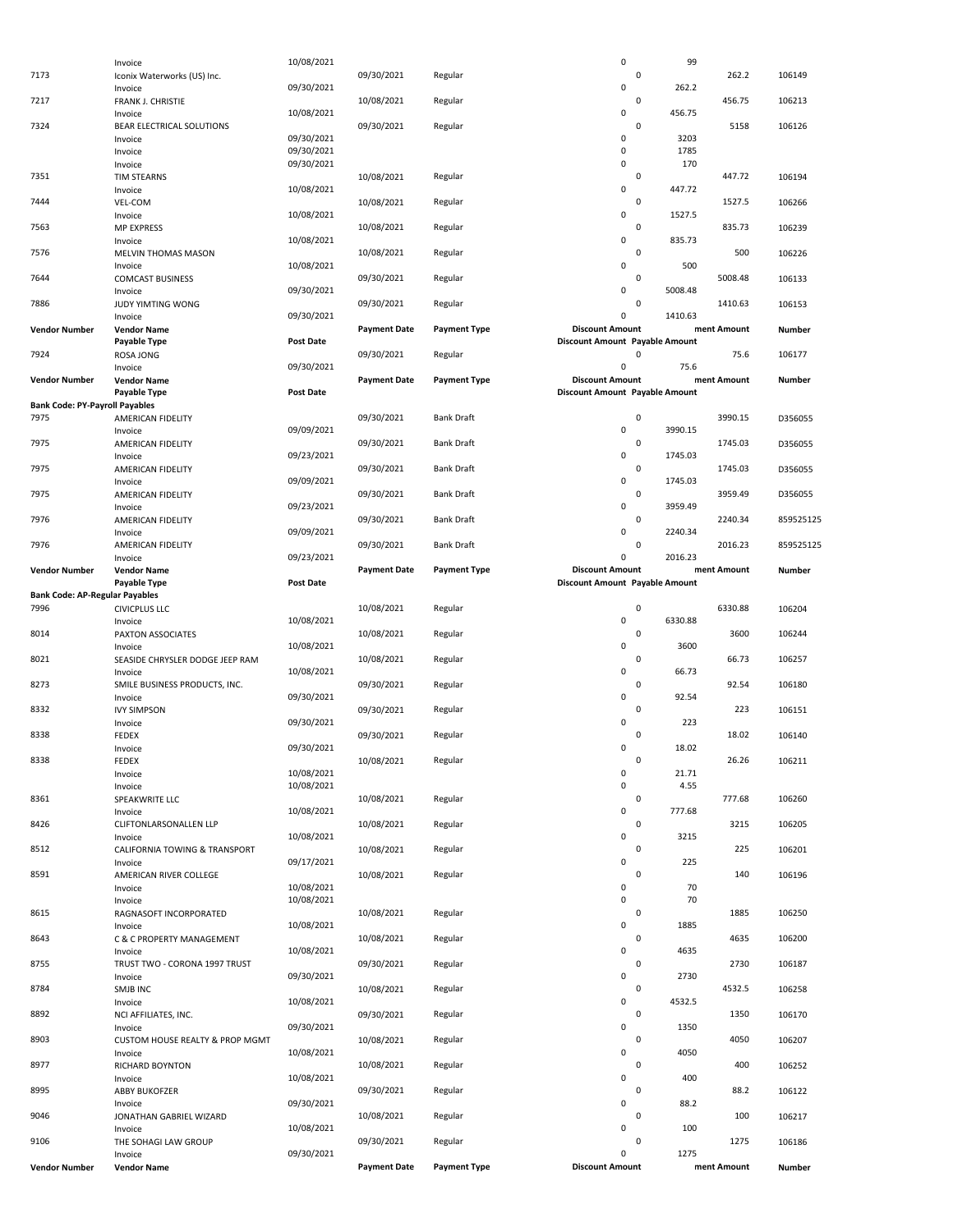|                                               | Invoice                                    | 10/08/2021               |                     |                     | $\mathsf 0$                                              |             | 99                     |           |
|-----------------------------------------------|--------------------------------------------|--------------------------|---------------------|---------------------|----------------------------------------------------------|-------------|------------------------|-----------|
| 7173                                          | Iconix Waterworks (US) Inc.                |                          | 09/30/2021          | Regular             |                                                          | 0           | 262.2                  | 106149    |
| 7217                                          | Invoice<br>FRANK J. CHRISTIE               | 09/30/2021               | 10/08/2021          | Regular             | 0                                                        | 0           | 262.2<br>456.75        | 106213    |
|                                               | Invoice                                    | 10/08/2021               |                     |                     | 0                                                        |             | 456.75                 |           |
| 7324                                          | BEAR ELECTRICAL SOLUTIONS<br>Invoice       | 09/30/2021               | 09/30/2021          | Regular             | 0                                                        | $\mathbf 0$ | 5158<br>3203           | 106126    |
|                                               | Invoice                                    | 09/30/2021               |                     |                     | $\mathsf 0$                                              |             | 1785                   |           |
| 7351                                          | Invoice<br><b>TIM STEARNS</b>              | 09/30/2021               | 10/08/2021          | Regular             | $\mathsf 0$                                              | 0           | 170<br>447.72          | 106194    |
|                                               | Invoice                                    | 10/08/2021               |                     |                     | $\mathsf 0$                                              |             | 447.72                 |           |
| 7444                                          | VEL-COM<br>Invoice                         | 10/08/2021               | 10/08/2021          | Regular             | $\mathsf 0$                                              | 0           | 1527.5<br>1527.5       | 106266    |
| 7563                                          | <b>MP EXPRESS</b>                          |                          | 10/08/2021          | Regular             |                                                          | 0           | 835.73                 | 106239    |
| 7576                                          | Invoice<br>MELVIN THOMAS MASON             | 10/08/2021               | 10/08/2021          | Regular             | $\mathsf 0$                                              | 0           | 835.73<br>500          | 106226    |
| 7644                                          | Invoice                                    | 10/08/2021               | 09/30/2021          | Regular             | $\mathsf 0$                                              | 0           | 500<br>5008.48         | 106133    |
|                                               | <b>COMCAST BUSINESS</b><br>Invoice         | 09/30/2021               |                     |                     | 0                                                        |             | 5008.48                |           |
| 7886                                          | JUDY YIMTING WONG<br>Invoice               | 09/30/2021               | 09/30/2021          | Regular             | $\mathbf 0$                                              | 0           | 1410.63<br>1410.63     | 106153    |
| <b>Vendor Number</b>                          | <b>Vendor Name</b>                         |                          | <b>Payment Date</b> | <b>Payment Type</b> | <b>Discount Amount</b>                                   |             | ment Amount            | Number    |
| 7924                                          | Payable Type<br>ROSA JONG                  | <b>Post Date</b>         | 09/30/2021          | Regular             | Discount Amount Payable Amount                           | $\mathbf 0$ | 75.6                   | 106177    |
|                                               | Invoice                                    | 09/30/2021               |                     |                     | $\mathbf 0$                                              |             | 75.6                   |           |
| <b>Vendor Number</b>                          | <b>Vendor Name</b><br>Payable Type         | Post Date                | <b>Payment Date</b> | <b>Payment Type</b> | <b>Discount Amount</b><br>Discount Amount Payable Amount |             | ment Amount            | Number    |
| <b>Bank Code: PY-Payroll Payables</b>         |                                            |                          |                     |                     |                                                          |             |                        |           |
| 7975                                          | AMERICAN FIDELITY<br>Invoice               | 09/09/2021               | 09/30/2021          | <b>Bank Draft</b>   | $\mathsf 0$                                              | 0           | 3990.15<br>3990.15     | D356055   |
| 7975                                          | AMERICAN FIDELITY                          |                          | 09/30/2021          | <b>Bank Draft</b>   |                                                          | 0           | 1745.03                | D356055   |
| 7975                                          | Invoice<br>AMERICAN FIDELITY               | 09/23/2021               | 09/30/2021          | <b>Bank Draft</b>   | 0                                                        | 0           | 1745.03<br>1745.03     | D356055   |
| 7975                                          | Invoice<br>AMERICAN FIDELITY               | 09/09/2021               | 09/30/2021          | <b>Bank Draft</b>   | $\mathsf 0$                                              | 0           | 1745.03<br>3959.49     | D356055   |
|                                               | Invoice                                    | 09/23/2021               |                     |                     | 0                                                        |             | 3959.49                |           |
| 7976                                          | AMERICAN FIDELITY<br>Invoice               | 09/09/2021               | 09/30/2021          | <b>Bank Draft</b>   | $\mathbf 0$                                              | 0           | 2240.34<br>2240.34     | 859525125 |
| 7976                                          | AMERICAN FIDELITY                          |                          | 09/30/2021          | <b>Bank Draft</b>   |                                                          | 0           | 2016.23                | 859525125 |
| <b>Vendor Number</b>                          | Invoice<br><b>Vendor Name</b>              | 09/23/2021               | <b>Payment Date</b> | <b>Payment Type</b> | $\mathbf 0$<br><b>Discount Amount</b>                    |             | 2016.23<br>ment Amount | Number    |
|                                               | Payable Type                               | Post Date                |                     |                     | Discount Amount Payable Amount                           |             |                        |           |
| <b>Bank Code: AP-Regular Payables</b><br>7996 | <b>CIVICPLUS LLC</b>                       |                          | 10/08/2021          | Regular             |                                                          | 0           | 6330.88                | 106204    |
|                                               | Invoice                                    | 10/08/2021               |                     |                     | $\mathsf 0$                                              |             | 6330.88                |           |
| 8014                                          | PAXTON ASSOCIATES<br>Invoice               | 10/08/2021               | 10/08/2021          | Regular             | $\mathsf 0$                                              | 0           | 3600<br>3600           | 106244    |
| 8021                                          | SEASIDE CHRYSLER DODGE JEEP RAM            |                          | 10/08/2021          | Regular             |                                                          | 0           | 66.73                  | 106257    |
| 8273                                          | Invoice<br>SMILE BUSINESS PRODUCTS, INC.   | 10/08/2021               | 09/30/2021          | Regular             | $\mathsf 0$                                              | 0           | 66.73<br>92.54         | 106180    |
| 8332                                          | Invoice<br><b>IVY SIMPSON</b>              | 09/30/2021               | 09/30/2021          | Regular             | $\mathsf 0$                                              | 0           | 92.54<br>223           | 106151    |
|                                               | Invoice                                    | 09/30/2021               |                     |                     | $\mathbf 0$                                              |             | 223                    |           |
| 8338                                          | <b>FEDEX</b><br>Invoice                    | 09/30/2021               | 09/30/2021          | Regular             | $\mathbf 0$                                              | $\mathbf 0$ | 18.02<br>18.02         | 106140    |
| 8338                                          | <b>FEDEX</b>                               |                          | 10/08/2021          | Regular             |                                                          | 0           | 26.26                  | 106211    |
|                                               | Invoice<br>Invoice                         | 10/08/2021<br>10/08/2021 |                     |                     | $\mathsf 0$<br>$\mathsf 0$                               |             | 21.71<br>4.55          |           |
| 8361                                          | SPEAKWRITE LLC                             |                          | 10/08/2021          | Regular             |                                                          | 0           | 777.68                 | 106260    |
| 8426                                          | Invoice<br>CLIFTONLARSONALLEN LLP          | 10/08/2021               | 10/08/2021          | Regular             | 0                                                        | 0           | 777.68<br>3215         | 106205    |
| 8512                                          | Invoice                                    | 10/08/2021               |                     |                     | $\mathsf 0$                                              | 0           | 3215<br>225            |           |
|                                               | CALIFORNIA TOWING & TRANSPORT<br>Invoice   | 09/17/2021               | 10/08/2021          | Regular             | 0                                                        |             | 225                    | 106201    |
| 8591                                          | AMERICAN RIVER COLLEGE<br>Invoice          | 10/08/2021               | 10/08/2021          | Regular             | $\mathsf 0$                                              | 0           | 140<br>70              | 106196    |
|                                               | Invoice                                    | 10/08/2021               |                     |                     | $\mathsf 0$                                              |             | 70                     |           |
| 8615                                          | RAGNASOFT INCORPORATED<br>Invoice          | 10/08/2021               | 10/08/2021          | Regular             | $\mathsf 0$                                              | 0           | 1885<br>1885           | 106250    |
| 8643                                          | C & C PROPERTY MANAGEMENT                  |                          | 10/08/2021          | Regular             |                                                          | 0           | 4635                   | 106200    |
| 8755                                          | Invoice<br>TRUST TWO - CORONA 1997 TRUST   | 10/08/2021               | 09/30/2021          | Regular             | 0                                                        | 0           | 4635<br>2730           | 106187    |
| 8784                                          | Invoice<br>SMJB INC                        | 09/30/2021               | 10/08/2021          | Regular             | $\mathsf 0$                                              | 0           | 2730<br>4532.5         | 106258    |
|                                               | Invoice                                    | 10/08/2021               |                     |                     | $\mathsf 0$                                              |             | 4532.5                 |           |
| 8892                                          | NCI AFFILIATES, INC.<br>Invoice            | 09/30/2021               | 09/30/2021          | Regular             | $\mathsf 0$                                              | 0           | 1350<br>1350           | 106170    |
| 8903                                          | <b>CUSTOM HOUSE REALTY &amp; PROP MGMT</b> |                          | 10/08/2021          | Regular             |                                                          | 0           | 4050                   | 106207    |
| 8977                                          | Invoice<br>RICHARD BOYNTON                 | 10/08/2021               | 10/08/2021          | Regular             | $\mathsf 0$                                              | 0           | 4050<br>400            | 106252    |
|                                               | Invoice                                    | 10/08/2021               | 09/30/2021          |                     | 0                                                        | 0           | 400<br>88.2            |           |
| 8995                                          | <b>ABBY BUKOFZER</b><br>Invoice            | 09/30/2021               |                     | Regular             | 0                                                        |             | 88.2                   | 106122    |
| 9046                                          | JONATHAN GABRIEL WIZARD<br>Invoice         | 10/08/2021               | 10/08/2021          | Regular             | 0                                                        | 0           | 100<br>100             | 106217    |
| 9106                                          | THE SOHAGI LAW GROUP                       |                          | 09/30/2021          | Regular             |                                                          | 0           | 1275                   | 106186    |
| <b>Vendor Number</b>                          | Invoice<br><b>Vendor Name</b>              | 09/30/2021               | <b>Payment Date</b> | <b>Payment Type</b> | 0<br><b>Discount Amount</b>                              |             | 1275<br>ment Amount    | Number    |
|                                               |                                            |                          |                     |                     |                                                          |             |                        |           |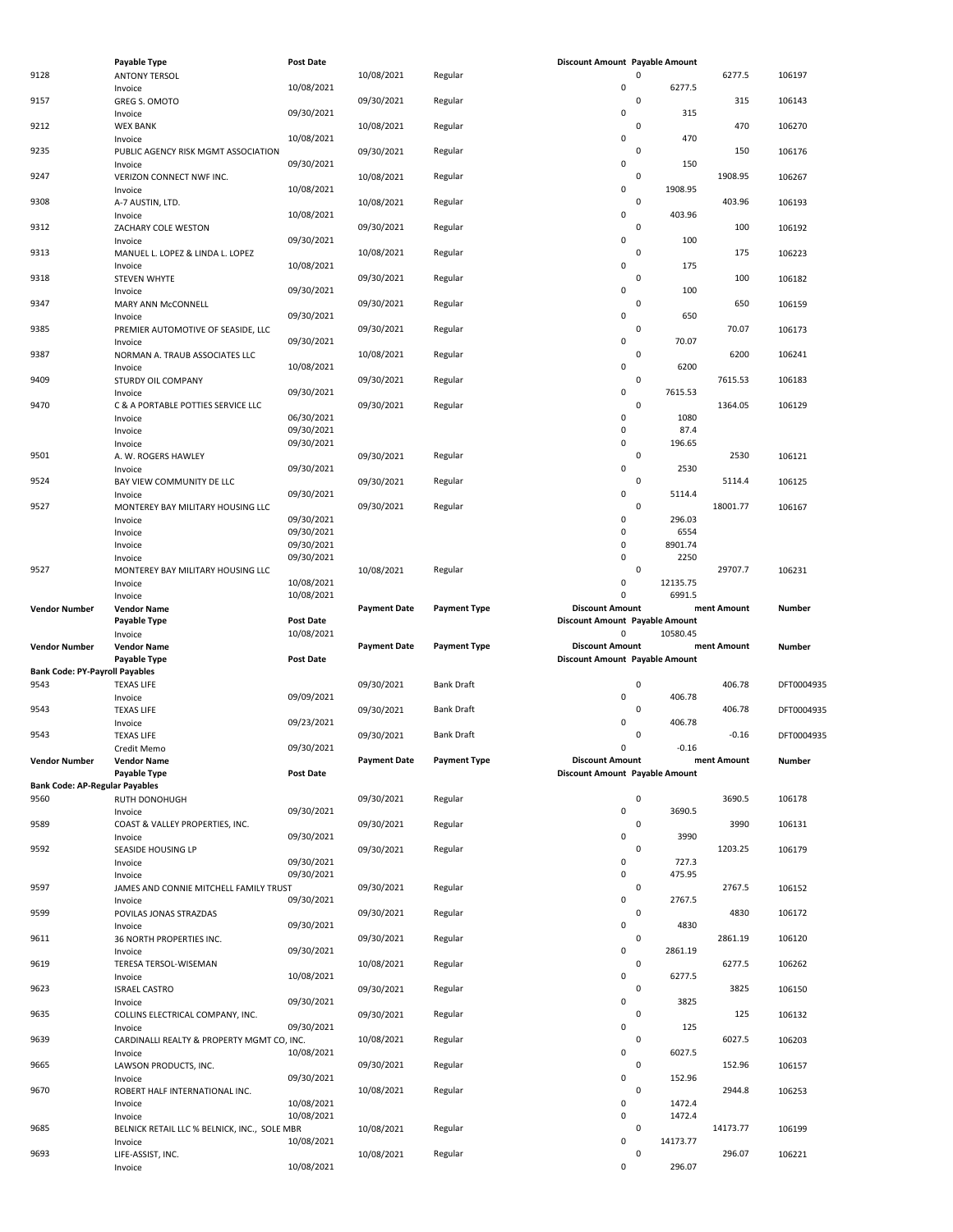|                                       | Payable Type                                 | <b>Post Date</b> |                     |                     | Discount Amount Payable Amount |             |             |            |
|---------------------------------------|----------------------------------------------|------------------|---------------------|---------------------|--------------------------------|-------------|-------------|------------|
| 9128                                  | <b>ANTONY TERSOL</b>                         |                  | 10/08/2021          | Regular             |                                | $\mathsf 0$ | 6277.5      | 106197     |
|                                       | Invoice                                      | 10/08/2021       |                     |                     | $\pmb{0}$                      |             | 6277.5      |            |
| 9157                                  |                                              |                  | 09/30/2021          |                     |                                | $\mathsf 0$ | 315         |            |
|                                       | <b>GREG S. OMOTO</b>                         |                  |                     | Regular             | $\mathsf 0$                    |             | 315         | 106143     |
|                                       | Invoice                                      | 09/30/2021       |                     |                     |                                |             |             |            |
| 9212                                  | <b>WEX BANK</b>                              |                  | 10/08/2021          | Regular             |                                | 0           | 470         | 106270     |
|                                       | Invoice                                      | 10/08/2021       |                     |                     | 0                              |             | 470         |            |
| 9235                                  | PUBLIC AGENCY RISK MGMT ASSOCIATION          |                  | 09/30/2021          | Regular             |                                | $\mathsf 0$ | 150         | 106176     |
|                                       | Invoice                                      | 09/30/2021       |                     |                     | 0                              |             | 150         |            |
| 9247                                  | VERIZON CONNECT NWF INC.                     |                  | 10/08/2021          | Regular             |                                | $\mathsf 0$ | 1908.95     | 106267     |
|                                       | Invoice                                      | 10/08/2021       |                     |                     | 0                              | 1908.95     |             |            |
| 9308                                  | A-7 AUSTIN, LTD.                             |                  | 10/08/2021          | Regular             |                                | $\mathsf 0$ | 403.96      | 106193     |
|                                       | Invoice                                      | 10/08/2021       |                     |                     | $\pmb{0}$                      |             | 403.96      |            |
| 9312                                  | ZACHARY COLE WESTON                          |                  | 09/30/2021          | Regular             |                                | $\mathsf 0$ | 100         | 106192     |
|                                       | Invoice                                      | 09/30/2021       |                     |                     | $\mathsf 0$                    |             | 100         |            |
| 9313                                  | MANUEL L. LOPEZ & LINDA L. LOPEZ             |                  | 10/08/2021          | Regular             |                                | $\mathsf 0$ | 175         | 106223     |
|                                       |                                              | 10/08/2021       |                     |                     | 0                              |             | 175         |            |
| 9318                                  | Invoice                                      |                  | 09/30/2021          |                     |                                | $\mathsf 0$ | 100         |            |
|                                       | STEVEN WHYTE                                 |                  |                     | Regular             |                                |             |             | 106182     |
|                                       | Invoice                                      | 09/30/2021       |                     |                     | $\pmb{0}$                      |             | 100         |            |
| 9347                                  | MARY ANN McCONNELL                           |                  | 09/30/2021          | Regular             |                                | $\mathsf 0$ | 650         | 106159     |
|                                       | Invoice                                      | 09/30/2021       |                     |                     | $\pmb{0}$                      |             | 650         |            |
| 9385                                  | PREMIER AUTOMOTIVE OF SEASIDE, LLC           |                  | 09/30/2021          | Regular             |                                | $\mathsf 0$ | 70.07       | 106173     |
|                                       | Invoice                                      | 09/30/2021       |                     |                     | $\mathsf 0$                    |             | 70.07       |            |
| 9387                                  | NORMAN A. TRAUB ASSOCIATES LLC               |                  | 10/08/2021          | Regular             |                                | $\mathsf 0$ | 6200        | 106241     |
|                                       | Invoice                                      | 10/08/2021       |                     |                     | 0                              |             | 6200        |            |
| 9409                                  | STURDY OIL COMPANY                           |                  | 09/30/2021          | Regular             |                                | $\mathsf 0$ | 7615.53     | 106183     |
|                                       | Invoice                                      | 09/30/2021       |                     |                     | 0                              | 7615.53     |             |            |
| 9470                                  |                                              |                  |                     |                     |                                | 0           |             |            |
|                                       | C & A PORTABLE POTTIES SERVICE LLC           |                  | 09/30/2021          | Regular             |                                |             | 1364.05     | 106129     |
|                                       | Invoice                                      | 06/30/2021       |                     |                     | 0                              |             | 1080        |            |
|                                       | Invoice                                      | 09/30/2021       |                     |                     | $\mathsf 0$                    |             | 87.4        |            |
|                                       | Invoice                                      | 09/30/2021       |                     |                     | 0                              |             | 196.65      |            |
| 9501                                  | A. W. ROGERS HAWLEY                          |                  | 09/30/2021          | Regular             |                                | $\mathsf 0$ | 2530        | 106121     |
|                                       | Invoice                                      | 09/30/2021       |                     |                     | $\mathsf 0$                    |             | 2530        |            |
| 9524                                  | BAY VIEW COMMUNITY DE LLC                    |                  | 09/30/2021          | Regular             |                                | $\mathsf 0$ | 5114.4      | 106125     |
|                                       | Invoice                                      | 09/30/2021       |                     |                     | 0                              |             | 5114.4      |            |
| 9527                                  | MONTEREY BAY MILITARY HOUSING LLC            |                  | 09/30/2021          | Regular             |                                | $\mathbf 0$ | 18001.77    | 106167     |
|                                       |                                              | 09/30/2021       |                     |                     | $\pmb{0}$                      |             | 296.03      |            |
|                                       | Invoice                                      |                  |                     |                     | $\mathbf 0$                    |             |             |            |
|                                       | Invoice                                      | 09/30/2021       |                     |                     |                                |             | 6554        |            |
|                                       | Invoice                                      | 09/30/2021       |                     |                     | $\pmb{0}$                      | 8901.74     |             |            |
|                                       | Invoice                                      | 09/30/2021       |                     |                     | $\pmb{0}$                      |             | 2250        |            |
| 9527                                  | MONTEREY BAY MILITARY HOUSING LLC            |                  | 10/08/2021          | Regular             |                                | $\mathsf 0$ | 29707.7     | 106231     |
|                                       | Invoice                                      | 10/08/2021       |                     |                     | 0                              | 12135.75    |             |            |
|                                       | Invoice                                      | 10/08/2021       |                     |                     | $\mathbf 0$                    |             | 6991.5      |            |
|                                       | <b>Vendor Name</b>                           |                  | <b>Payment Date</b> | <b>Payment Type</b> | <b>Discount Amount</b>         |             | ment Amount | Number     |
| <b>Vendor Number</b>                  |                                              |                  |                     |                     |                                |             |             |            |
|                                       |                                              |                  |                     |                     |                                |             |             |            |
|                                       | Payable Type                                 | <b>Post Date</b> |                     |                     | Discount Amount Payable Amount |             |             |            |
|                                       | Invoice                                      | 10/08/2021       |                     |                     | 0                              | 10580.45    |             |            |
| <b>Vendor Number</b>                  | <b>Vendor Name</b>                           |                  | <b>Payment Date</b> | <b>Payment Type</b> | <b>Discount Amount</b>         |             | ment Amount | Number     |
|                                       | Payable Type                                 | <b>Post Date</b> |                     |                     | Discount Amount Payable Amount |             |             |            |
| <b>Bank Code: PY-Payroll Payables</b> |                                              |                  |                     |                     |                                |             |             |            |
| 9543                                  | <b>TEXAS LIFE</b>                            |                  | 09/30/2021          | Bank Draft          |                                | $\mathsf 0$ | 406.78      | DFT0004935 |
|                                       | Invoice                                      | 09/09/2021       |                     |                     | $\pmb{0}$                      |             | 406.78      |            |
| 9543                                  | <b>TEXAS LIFE</b>                            |                  | 09/30/2021          | Bank Draft          |                                | $\mathsf 0$ | 406.78      | DFT0004935 |
|                                       | Invoice                                      | 09/23/2021       |                     |                     | $\mathbf 0$                    |             | 406.78      |            |
| 9543                                  |                                              |                  | 09/30/2021          | <b>Bank Draft</b>   |                                | 0           | $-0.16$     |            |
|                                       | <b>TEXAS LIFE</b>                            |                  |                     |                     | $\Omega$                       |             | $-0.16$     | DFT0004935 |
|                                       | Credit Memo                                  | 09/30/2021       |                     |                     |                                |             |             |            |
| <b>Vendor Number</b>                  | <b>Vendor Name</b>                           |                  | <b>Payment Date</b> | <b>Payment Type</b> | <b>Discount Amount</b>         |             | ment Amount | Number     |
|                                       | Payable Type                                 | <b>Post Date</b> |                     |                     | Discount Amount Payable Amount |             |             |            |
| <b>Bank Code: AP-Regular Payables</b> |                                              |                  |                     |                     |                                |             |             |            |
| 9560                                  | RUTH DONOHUGH                                |                  | 09/30/2021          | Regular             |                                | $\mathsf 0$ | 3690.5      | 106178     |
|                                       | Invoice                                      | 09/30/2021       |                     |                     | $\pmb{0}$                      |             | 3690.5      |            |
| 9589                                  | COAST & VALLEY PROPERTIES, INC.              |                  | 09/30/2021          | Regular             |                                | $\mathsf 0$ | 3990        | 106131     |
|                                       | Invoice                                      | 09/30/2021       |                     |                     | $\pmb{0}$                      |             | 3990        |            |
| 9592                                  | SEASIDE HOUSING LP                           |                  | 09/30/2021          | Regular             |                                | $\mathsf 0$ | 1203.25     | 106179     |
|                                       | Invoice                                      | 09/30/2021       |                     |                     | 0                              |             | 727.3       |            |
|                                       | Invoice                                      | 09/30/2021       |                     |                     | $\pmb{0}$                      |             | 475.95      |            |
| 9597                                  |                                              |                  | 09/30/2021          | Regular             |                                | $\mathsf 0$ | 2767.5      | 106152     |
|                                       | JAMES AND CONNIE MITCHELL FAMILY TRUST       |                  |                     |                     | $\pmb{0}$                      |             | 2767.5      |            |
|                                       | Invoice                                      | 09/30/2021       |                     |                     |                                |             |             |            |
| 9599                                  | POVILAS JONAS STRAZDAS                       |                  | 09/30/2021          | Regular             |                                | $\mathsf 0$ | 4830        | 106172     |
|                                       | Invoice                                      | 09/30/2021       |                     |                     | $\pmb{0}$                      |             | 4830        |            |
| 9611                                  | 36 NORTH PROPERTIES INC.                     |                  | 09/30/2021          | Regular             |                                | $\mathsf 0$ | 2861.19     | 106120     |
|                                       | Invoice                                      | 09/30/2021       |                     |                     | 0                              | 2861.19     |             |            |
| 9619                                  | TERESA TERSOL-WISEMAN                        |                  | 10/08/2021          | Regular             |                                | $\mathsf 0$ | 6277.5      | 106262     |
|                                       | Invoice                                      | 10/08/2021       |                     |                     | 0                              |             | 6277.5      |            |
| 9623                                  | <b>ISRAEL CASTRO</b>                         |                  | 09/30/2021          | Regular             |                                | $\mathsf 0$ | 3825        | 106150     |
|                                       | Invoice                                      | 09/30/2021       |                     |                     | 0                              |             | 3825        |            |
| 9635                                  | COLLINS ELECTRICAL COMPANY, INC.             |                  | 09/30/2021          | Regular             |                                | $\mathsf 0$ | 125         | 106132     |
|                                       | Invoice                                      | 09/30/2021       |                     |                     | 0                              |             | 125         |            |
|                                       |                                              |                  |                     |                     |                                | $\mathsf 0$ |             |            |
| 9639                                  | CARDINALLI REALTY & PROPERTY MGMT CO, INC.   |                  | 10/08/2021          | Regular             |                                |             | 6027.5      | 106203     |
|                                       | Invoice                                      | 10/08/2021       |                     |                     | 0                              |             | 6027.5      |            |
| 9665                                  | LAWSON PRODUCTS, INC.                        |                  | 09/30/2021          | Regular             |                                | $\mathsf 0$ | 152.96      | 106157     |
|                                       | Invoice                                      | 09/30/2021       |                     |                     | $\pmb{0}$                      |             | 152.96      |            |
| 9670                                  | ROBERT HALF INTERNATIONAL INC.               |                  | 10/08/2021          | Regular             |                                | $\mathsf 0$ | 2944.8      | 106253     |
|                                       | Invoice                                      | 10/08/2021       |                     |                     | $\pmb{0}$                      |             | 1472.4      |            |
|                                       | Invoice                                      | 10/08/2021       |                     |                     | 0                              |             | 1472.4      |            |
| 9685                                  | BELNICK RETAIL LLC % BELNICK, INC., SOLE MBR |                  | 10/08/2021          | Regular             |                                | $\mathsf 0$ | 14173.77    | 106199     |
|                                       | Invoice                                      | 10/08/2021       |                     |                     | 0                              | 14173.77    |             |            |
| 9693                                  | LIFE-ASSIST, INC.                            |                  | 10/08/2021          | Regular             | $\pmb{0}$                      | $\pmb{0}$   | 296.07      | 106221     |